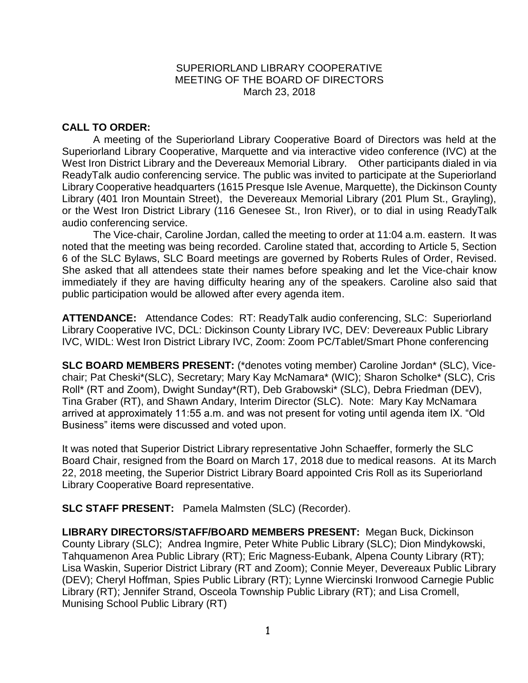# SUPERIORLAND LIBRARY COOPERATIVE MEETING OF THE BOARD OF DIRECTORS March 23, 2018

# **CALL TO ORDER:**

A meeting of the Superiorland Library Cooperative Board of Directors was held at the Superiorland Library Cooperative, Marquette and via interactive video conference (IVC) at the West Iron District Library and the Devereaux Memorial Library. Other participants dialed in via ReadyTalk audio conferencing service. The public was invited to participate at the Superiorland Library Cooperative headquarters (1615 Presque Isle Avenue, Marquette), the Dickinson County Library (401 Iron Mountain Street), the Devereaux Memorial Library (201 Plum St., Grayling), or the West Iron District Library (116 Genesee St., Iron River), or to dial in using ReadyTalk audio conferencing service.

The Vice-chair, Caroline Jordan, called the meeting to order at 11:04 a.m. eastern. It was noted that the meeting was being recorded. Caroline stated that, according to Article 5, Section 6 of the SLC Bylaws, SLC Board meetings are governed by Roberts Rules of Order, Revised. She asked that all attendees state their names before speaking and let the Vice-chair know immediately if they are having difficulty hearing any of the speakers. Caroline also said that public participation would be allowed after every agenda item.

**ATTENDANCE:** Attendance Codes: RT: ReadyTalk audio conferencing, SLC: Superiorland Library Cooperative IVC, DCL: Dickinson County Library IVC, DEV: Devereaux Public Library IVC, WIDL: West Iron District Library IVC, Zoom: Zoom PC/Tablet/Smart Phone conferencing

**SLC BOARD MEMBERS PRESENT:** (\*denotes voting member) Caroline Jordan\* (SLC), Vicechair; Pat Cheski\*(SLC), Secretary; Mary Kay McNamara\* (WIC); Sharon Scholke\* (SLC), Cris Roll\* (RT and Zoom), Dwight Sunday\*(RT), Deb Grabowski\* (SLC), Debra Friedman (DEV), Tina Graber (RT), and Shawn Andary, Interim Director (SLC). Note: Mary Kay McNamara arrived at approximately 11:55 a.m. and was not present for voting until agenda item IX. "Old Business" items were discussed and voted upon.

It was noted that Superior District Library representative John Schaeffer, formerly the SLC Board Chair, resigned from the Board on March 17, 2018 due to medical reasons. At its March 22, 2018 meeting, the Superior District Library Board appointed Cris Roll as its Superiorland Library Cooperative Board representative.

**SLC STAFF PRESENT:** Pamela Malmsten (SLC) (Recorder).

**LIBRARY DIRECTORS/STAFF/BOARD MEMBERS PRESENT:** Megan Buck, Dickinson County Library (SLC); Andrea Ingmire, Peter White Public Library (SLC); Dion Mindykowski, Tahquamenon Area Public Library (RT); Eric Magness-Eubank, Alpena County Library (RT); Lisa Waskin, Superior District Library (RT and Zoom); Connie Meyer, Devereaux Public Library (DEV); Cheryl Hoffman, Spies Public Library (RT); Lynne Wiercinski Ironwood Carnegie Public Library (RT); Jennifer Strand, Osceola Township Public Library (RT); and Lisa Cromell, Munising School Public Library (RT)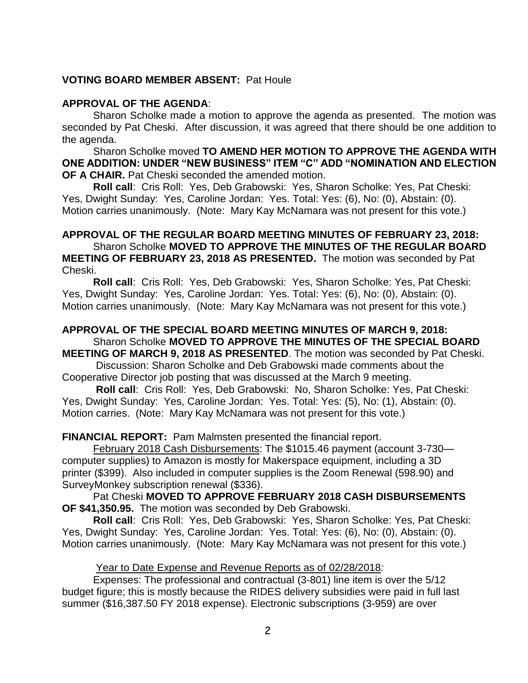## **VOTING BOARD MEMBER ABSENT:** Pat Houle

#### **APPROVAL OF THE AGENDA**:

Sharon Scholke made a motion to approve the agenda as presented. The motion was seconded by Pat Cheski. After discussion, it was agreed that there should be one addition to the agenda.

Sharon Scholke moved **TO AMEND HER MOTION TO APPROVE THE AGENDA WITH ONE ADDITION: UNDER "NEW BUSINESS" ITEM "C" ADD "NOMINATION AND ELECTION OF A CHAIR.** Pat Cheski seconded the amended motion.

**Roll call**: Cris Roll: Yes, Deb Grabowski: Yes, Sharon Scholke: Yes, Pat Cheski: Yes, Dwight Sunday: Yes, Caroline Jordan: Yes. Total: Yes: (6), No: (0), Abstain: (0). Motion carries unanimously. (Note: Mary Kay McNamara was not present for this vote.)

# **APPROVAL OF THE REGULAR BOARD MEETING MINUTES OF FEBRUARY 23, 2018:**

Sharon Scholke **MOVED TO APPROVE THE MINUTES OF THE REGULAR BOARD MEETING OF FEBRUARY 23, 2018 AS PRESENTED.** The motion was seconded by Pat Cheski.

**Roll call**: Cris Roll: Yes, Deb Grabowski: Yes, Sharon Scholke: Yes, Pat Cheski: Yes, Dwight Sunday: Yes, Caroline Jordan: Yes. Total: Yes: (6), No: (0), Abstain: (0). Motion carries unanimously. (Note: Mary Kay McNamara was not present for this vote.)

# **APPROVAL OF THE SPECIAL BOARD MEETING MINUTES OF MARCH 9, 2018:**  Sharon Scholke **MOVED TO APPROVE THE MINUTES OF THE SPECIAL BOARD**

**MEETING OF MARCH 9, 2018 AS PRESENTED**. The motion was seconded by Pat Cheski. Discussion: Sharon Scholke and Deb Grabowski made comments about the

Cooperative Director job posting that was discussed at the March 9 meeting.

**Roll call**: Cris Roll: Yes, Deb Grabowski: No, Sharon Scholke: Yes, Pat Cheski: Yes, Dwight Sunday: Yes, Caroline Jordan: Yes. Total: Yes: (5), No: (1), Abstain: (0). Motion carries. (Note: Mary Kay McNamara was not present for this vote.)

#### **FINANCIAL REPORT:** Pam Malmsten presented the financial report.

February 2018 Cash Disbursements: The \$1015.46 payment (account 3-730 computer supplies) to Amazon is mostly for Makerspace equipment, including a 3D printer (\$399). Also included in computer supplies is the Zoom Renewal (598.90) and SurveyMonkey subscription renewal (\$336).

Pat Cheski **MOVED TO APPROVE FEBRUARY 2018 CASH DISBURSEMENTS OF \$41,350.95.** The motion was seconded by Deb Grabowski.

**Roll call**: Cris Roll: Yes, Deb Grabowski: Yes, Sharon Scholke: Yes, Pat Cheski: Yes, Dwight Sunday: Yes, Caroline Jordan: Yes. Total: Yes: (6), No: (0), Abstain: (0). Motion carries unanimously. (Note: Mary Kay McNamara was not present for this vote.)

#### Year to Date Expense and Revenue Reports as of 02/28/2018*:*

Expenses: The professional and contractual (3-801) line item is over the 5/12 budget figure; this is mostly because the RIDES delivery subsidies were paid in full last summer (\$16,387.50 FY 2018 expense). Electronic subscriptions (3-959) are over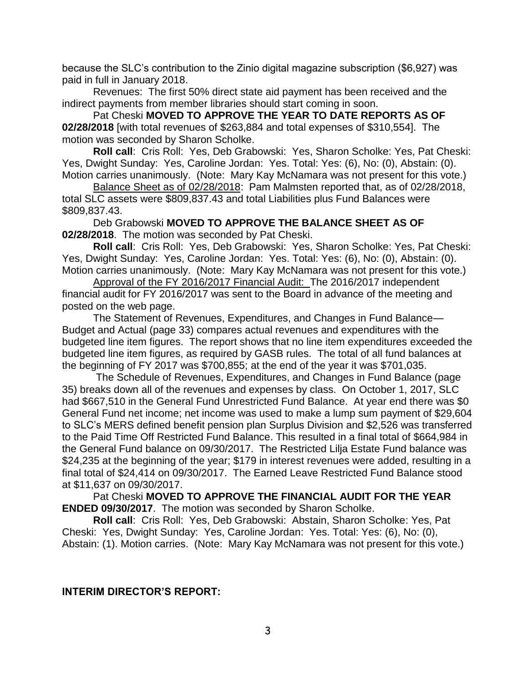because the SLC's contribution to the Zinio digital magazine subscription (\$6,927) was paid in full in January 2018.

Revenues: The first 50% direct state aid payment has been received and the indirect payments from member libraries should start coming in soon.

Pat Cheski **MOVED TO APPROVE THE YEAR TO DATE REPORTS AS OF 02/28/2018** [with total revenues of \$263,884 and total expenses of \$310,554]. The motion was seconded by Sharon Scholke.

**Roll call**: Cris Roll: Yes, Deb Grabowski: Yes, Sharon Scholke: Yes, Pat Cheski: Yes, Dwight Sunday: Yes, Caroline Jordan: Yes. Total: Yes: (6), No: (0), Abstain: (0). Motion carries unanimously. (Note: Mary Kay McNamara was not present for this vote.)

Balance Sheet as of 02/28/2018: Pam Malmsten reported that, as of 02/28/2018, total SLC assets were \$809,837.43 and total Liabilities plus Fund Balances were \$809,837.43.

Deb Grabowski **MOVED TO APPROVE THE BALANCE SHEET AS OF 02/28/2018**. The motion was seconded by Pat Cheski.

**Roll call**: Cris Roll: Yes, Deb Grabowski: Yes, Sharon Scholke: Yes, Pat Cheski: Yes, Dwight Sunday: Yes, Caroline Jordan: Yes. Total: Yes: (6), No: (0), Abstain: (0). Motion carries unanimously. (Note: Mary Kay McNamara was not present for this vote.)

Approval of the FY 2016/2017 Financial Audit: The 2016/2017 independent financial audit for FY 2016/2017 was sent to the Board in advance of the meeting and posted on the web page.

The Statement of Revenues, Expenditures, and Changes in Fund Balance— Budget and Actual (page 33) compares actual revenues and expenditures with the budgeted line item figures. The report shows that no line item expenditures exceeded the budgeted line item figures, as required by GASB rules. The total of all fund balances at the beginning of FY 2017 was \$700,855; at the end of the year it was \$701,035.

The Schedule of Revenues, Expenditures, and Changes in Fund Balance (page 35) breaks down all of the revenues and expenses by class. On October 1, 2017, SLC had \$667,510 in the General Fund Unrestricted Fund Balance. At year end there was \$0 General Fund net income; net income was used to make a lump sum payment of \$29,604 to SLC's MERS defined benefit pension plan Surplus Division and \$2,526 was transferred to the Paid Time Off Restricted Fund Balance. This resulted in a final total of \$664,984 in the General Fund balance on 09/30/2017. The Restricted Lilja Estate Fund balance was \$24,235 at the beginning of the year; \$179 in interest revenues were added, resulting in a final total of \$24,414 on 09/30/2017. The Earned Leave Restricted Fund Balance stood at \$11,637 on 09/30/2017.

Pat Cheski **MOVED TO APPROVE THE FINANCIAL AUDIT FOR THE YEAR ENDED 09/30/2017**. The motion was seconded by Sharon Scholke.

**Roll call**: Cris Roll: Yes, Deb Grabowski: Abstain, Sharon Scholke: Yes, Pat Cheski: Yes, Dwight Sunday: Yes, Caroline Jordan: Yes. Total: Yes: (6), No: (0), Abstain: (1). Motion carries. (Note: Mary Kay McNamara was not present for this vote.)

#### **INTERIM DIRECTOR'S REPORT:**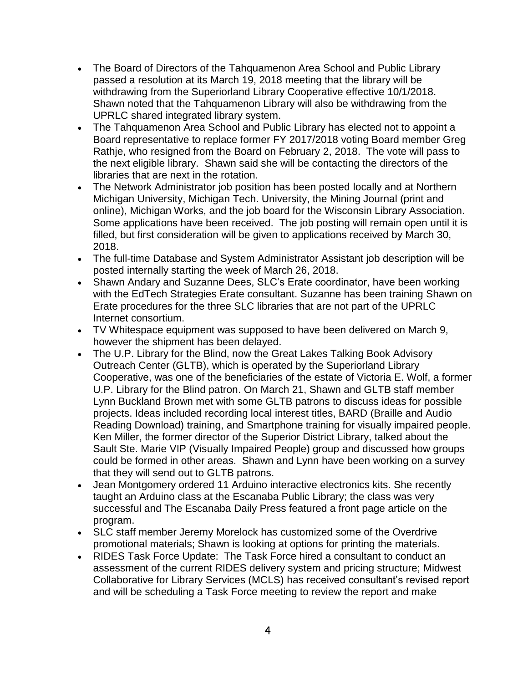- The Board of Directors of the Tahquamenon Area School and Public Library passed a resolution at its March 19, 2018 meeting that the library will be withdrawing from the Superiorland Library Cooperative effective 10/1/2018. Shawn noted that the Tahquamenon Library will also be withdrawing from the UPRLC shared integrated library system.
- The Tahquamenon Area School and Public Library has elected not to appoint a Board representative to replace former FY 2017/2018 voting Board member Greg Rathje, who resigned from the Board on February 2, 2018. The vote will pass to the next eligible library. Shawn said she will be contacting the directors of the libraries that are next in the rotation.
- The Network Administrator job position has been posted locally and at Northern Michigan University, Michigan Tech. University, the Mining Journal (print and online), Michigan Works, and the job board for the Wisconsin Library Association. Some applications have been received. The job posting will remain open until it is filled, but first consideration will be given to applications received by March 30, 2018.
- The full-time Database and System Administrator Assistant job description will be posted internally starting the week of March 26, 2018.
- Shawn Andary and Suzanne Dees, SLC's Erate coordinator, have been working with the EdTech Strategies Erate consultant. Suzanne has been training Shawn on Erate procedures for the three SLC libraries that are not part of the UPRLC Internet consortium.
- TV Whitespace equipment was supposed to have been delivered on March 9, however the shipment has been delayed.
- The U.P. Library for the Blind, now the Great Lakes Talking Book Advisory Outreach Center (GLTB), which is operated by the Superiorland Library Cooperative, was one of the beneficiaries of the estate of Victoria E. Wolf, a former U.P. Library for the Blind patron. On March 21, Shawn and GLTB staff member Lynn Buckland Brown met with some GLTB patrons to discuss ideas for possible projects. Ideas included recording local interest titles, BARD (Braille and Audio Reading Download) training, and Smartphone training for visually impaired people. Ken Miller, the former director of the Superior District Library, talked about the Sault Ste. Marie VIP (Visually Impaired People) group and discussed how groups could be formed in other areas. Shawn and Lynn have been working on a survey that they will send out to GLTB patrons.
- Jean Montgomery ordered 11 Arduino interactive electronics kits. She recently taught an Arduino class at the Escanaba Public Library; the class was very successful and The Escanaba Daily Press featured a front page article on the program.
- SLC staff member Jeremy Morelock has customized some of the Overdrive promotional materials; Shawn is looking at options for printing the materials.
- RIDES Task Force Update: The Task Force hired a consultant to conduct an assessment of the current RIDES delivery system and pricing structure; Midwest Collaborative for Library Services (MCLS) has received consultant's revised report and will be scheduling a Task Force meeting to review the report and make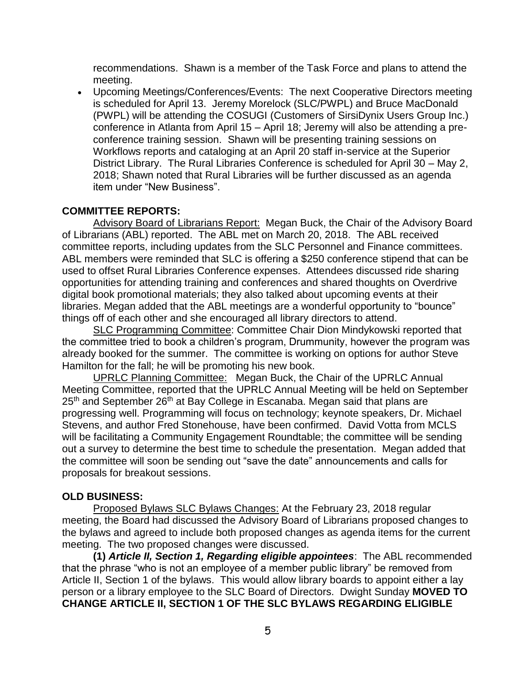recommendations. Shawn is a member of the Task Force and plans to attend the meeting.

 Upcoming Meetings/Conferences/Events: The next Cooperative Directors meeting is scheduled for April 13. Jeremy Morelock (SLC/PWPL) and Bruce MacDonald (PWPL) will be attending the COSUGI (Customers of SirsiDynix Users Group Inc.) conference in Atlanta from April 15 – April 18; Jeremy will also be attending a preconference training session. Shawn will be presenting training sessions on Workflows reports and cataloging at an April 20 staff in-service at the Superior District Library. The Rural Libraries Conference is scheduled for April 30 – May 2, 2018; Shawn noted that Rural Libraries will be further discussed as an agenda item under "New Business".

# **COMMITTEE REPORTS:**

Advisory Board of Librarians Report: Megan Buck, the Chair of the Advisory Board of Librarians (ABL) reported. The ABL met on March 20, 2018. The ABL received committee reports, including updates from the SLC Personnel and Finance committees. ABL members were reminded that SLC is offering a \$250 conference stipend that can be used to offset Rural Libraries Conference expenses. Attendees discussed ride sharing opportunities for attending training and conferences and shared thoughts on Overdrive digital book promotional materials; they also talked about upcoming events at their libraries. Megan added that the ABL meetings are a wonderful opportunity to "bounce" things off of each other and she encouraged all library directors to attend.

SLC Programming Committee: Committee Chair Dion Mindykowski reported that the committee tried to book a children's program, Drummunity, however the program was already booked for the summer. The committee is working on options for author Steve Hamilton for the fall; he will be promoting his new book.

UPRLC Planning Committee: Megan Buck, the Chair of the UPRLC Annual Meeting Committee, reported that the UPRLC Annual Meeting will be held on September 25<sup>th</sup> and September 26<sup>th</sup> at Bay College in Escanaba. Megan said that plans are progressing well. Programming will focus on technology; keynote speakers, Dr. Michael Stevens, and author Fred Stonehouse, have been confirmed. David Votta from MCLS will be facilitating a Community Engagement Roundtable; the committee will be sending out a survey to determine the best time to schedule the presentation. Megan added that the committee will soon be sending out "save the date" announcements and calls for proposals for breakout sessions.

#### **OLD BUSINESS:**

Proposed Bylaws SLC Bylaws Changes: At the February 23, 2018 regular meeting, the Board had discussed the Advisory Board of Librarians proposed changes to the bylaws and agreed to include both proposed changes as agenda items for the current meeting. The two proposed changes were discussed.

**(1)** *Article II, Section 1, Regarding eligible appointees*: The ABL recommended that the phrase "who is not an employee of a member public library" be removed from Article II, Section 1 of the bylaws. This would allow library boards to appoint either a lay person or a library employee to the SLC Board of Directors. Dwight Sunday **MOVED TO CHANGE ARTICLE II, SECTION 1 OF THE SLC BYLAWS REGARDING ELIGIBLE**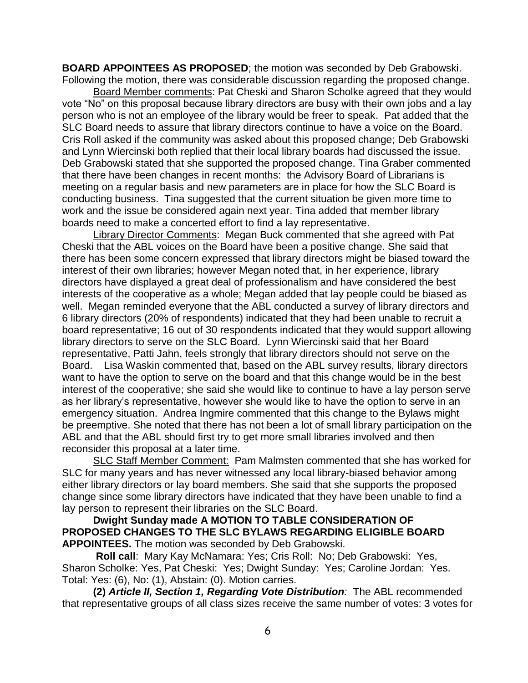**BOARD APPOINTEES AS PROPOSED**; the motion was seconded by Deb Grabowski. Following the motion, there was considerable discussion regarding the proposed change.

Board Member comments: Pat Cheski and Sharon Scholke agreed that they would vote "No" on this proposal because library directors are busy with their own jobs and a lay person who is not an employee of the library would be freer to speak. Pat added that the SLC Board needs to assure that library directors continue to have a voice on the Board. Cris Roll asked if the community was asked about this proposed change; Deb Grabowski and Lynn Wiercinski both replied that their local library boards had discussed the issue. Deb Grabowski stated that she supported the proposed change. Tina Graber commented that there have been changes in recent months: the Advisory Board of Librarians is meeting on a regular basis and new parameters are in place for how the SLC Board is conducting business. Tina suggested that the current situation be given more time to work and the issue be considered again next year. Tina added that member library boards need to make a concerted effort to find a lay representative.

Library Director Comments: Megan Buck commented that she agreed with Pat Cheski that the ABL voices on the Board have been a positive change. She said that there has been some concern expressed that library directors might be biased toward the interest of their own libraries; however Megan noted that, in her experience, library directors have displayed a great deal of professionalism and have considered the best interests of the cooperative as a whole; Megan added that lay people could be biased as well. Megan reminded everyone that the ABL conducted a survey of library directors and 6 library directors (20% of respondents) indicated that they had been unable to recruit a board representative; 16 out of 30 respondents indicated that they would support allowing library directors to serve on the SLC Board. Lynn Wiercinski said that her Board representative, Patti Jahn, feels strongly that library directors should not serve on the Board. Lisa Waskin commented that, based on the ABL survey results, library directors want to have the option to serve on the board and that this change would be in the best interest of the cooperative; she said she would like to continue to have a lay person serve as her library's representative, however she would like to have the option to serve in an emergency situation. Andrea Ingmire commented that this change to the Bylaws might be preemptive. She noted that there has not been a lot of small library participation on the ABL and that the ABL should first try to get more small libraries involved and then reconsider this proposal at a later time.

SLC Staff Member Comment: Pam Malmsten commented that she has worked for SLC for many years and has never witnessed any local library-biased behavior among either library directors or lay board members. She said that she supports the proposed change since some library directors have indicated that they have been unable to find a lay person to represent their libraries on the SLC Board.

**Dwight Sunday made A MOTION TO TABLE CONSIDERATION OF PROPOSED CHANGES TO THE SLC BYLAWS REGARDING ELIGIBLE BOARD APPOINTEES.** The motion was seconded by Deb Grabowski.

**Roll call**: Mary Kay McNamara: Yes; Cris Roll: No; Deb Grabowski: Yes, Sharon Scholke: Yes, Pat Cheski: Yes; Dwight Sunday: Yes; Caroline Jordan: Yes. Total: Yes: (6), No: (1), Abstain: (0). Motion carries.

**(2)** *Article II, Section 1, Regarding Vote Distribution:* The ABL recommended that representative groups of all class sizes receive the same number of votes: 3 votes for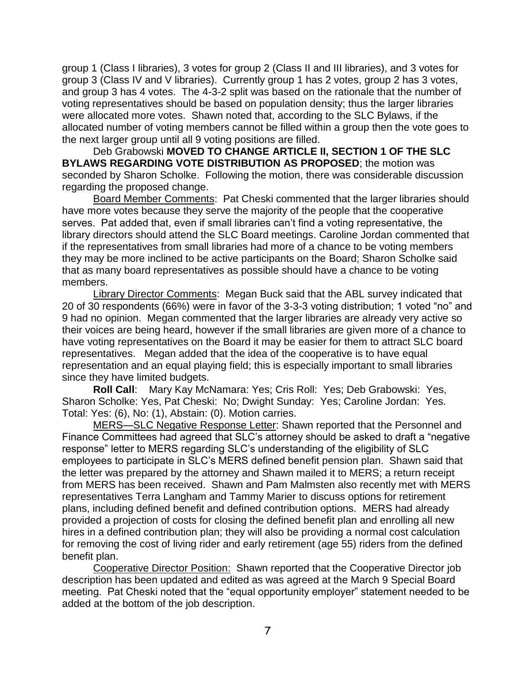group 1 (Class I libraries), 3 votes for group 2 (Class II and III libraries), and 3 votes for group 3 (Class IV and V libraries). Currently group 1 has 2 votes, group 2 has 3 votes, and group 3 has 4 votes. The 4-3-2 split was based on the rationale that the number of voting representatives should be based on population density; thus the larger libraries were allocated more votes. Shawn noted that, according to the SLC Bylaws, if the allocated number of voting members cannot be filled within a group then the vote goes to the next larger group until all 9 voting positions are filled.

Deb Grabowski **MOVED TO CHANGE ARTICLE II, SECTION 1 OF THE SLC BYLAWS REGARDING VOTE DISTRIBUTION AS PROPOSED**; the motion was seconded by Sharon Scholke. Following the motion, there was considerable discussion regarding the proposed change.

Board Member Comments: Pat Cheski commented that the larger libraries should have more votes because they serve the majority of the people that the cooperative serves. Pat added that, even if small libraries can't find a voting representative, the library directors should attend the SLC Board meetings. Caroline Jordan commented that if the representatives from small libraries had more of a chance to be voting members they may be more inclined to be active participants on the Board; Sharon Scholke said that as many board representatives as possible should have a chance to be voting members.

Library Director Comments: Megan Buck said that the ABL survey indicated that 20 of 30 respondents (66%) were in favor of the 3-3-3 voting distribution; 1 voted "no" and 9 had no opinion. Megan commented that the larger libraries are already very active so their voices are being heard, however if the small libraries are given more of a chance to have voting representatives on the Board it may be easier for them to attract SLC board representatives. Megan added that the idea of the cooperative is to have equal representation and an equal playing field; this is especially important to small libraries since they have limited budgets.

**Roll Call**: Mary Kay McNamara: Yes; Cris Roll: Yes; Deb Grabowski: Yes, Sharon Scholke: Yes, Pat Cheski: No; Dwight Sunday: Yes; Caroline Jordan: Yes. Total: Yes: (6), No: (1), Abstain: (0). Motion carries.

MERS—SLC Negative Response Letter: Shawn reported that the Personnel and Finance Committees had agreed that SLC's attorney should be asked to draft a "negative response" letter to MERS regarding SLC's understanding of the eligibility of SLC employees to participate in SLC's MERS defined benefit pension plan. Shawn said that the letter was prepared by the attorney and Shawn mailed it to MERS; a return receipt from MERS has been received. Shawn and Pam Malmsten also recently met with MERS representatives Terra Langham and Tammy Marier to discuss options for retirement plans, including defined benefit and defined contribution options. MERS had already provided a projection of costs for closing the defined benefit plan and enrolling all new hires in a defined contribution plan; they will also be providing a normal cost calculation for removing the cost of living rider and early retirement (age 55) riders from the defined benefit plan.

Cooperative Director Position: Shawn reported that the Cooperative Director job description has been updated and edited as was agreed at the March 9 Special Board meeting. Pat Cheski noted that the "equal opportunity employer" statement needed to be added at the bottom of the job description.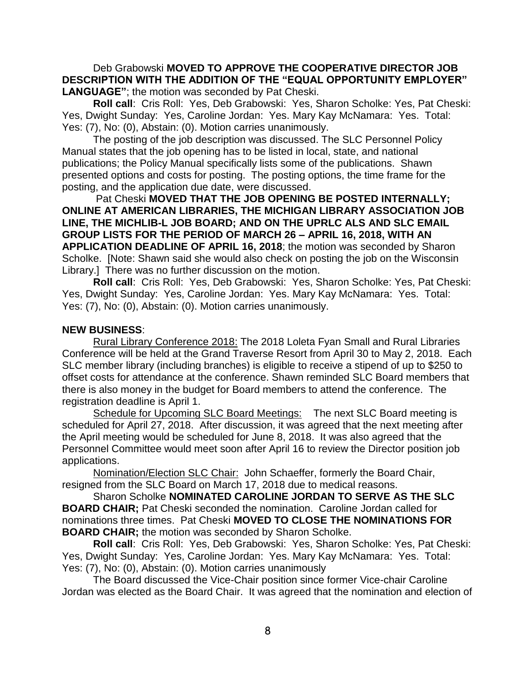Deb Grabowski **MOVED TO APPROVE THE COOPERATIVE DIRECTOR JOB DESCRIPTION WITH THE ADDITION OF THE "EQUAL OPPORTUNITY EMPLOYER" LANGUAGE"**; the motion was seconded by Pat Cheski.

**Roll call**: Cris Roll: Yes, Deb Grabowski: Yes, Sharon Scholke: Yes, Pat Cheski: Yes, Dwight Sunday: Yes, Caroline Jordan: Yes. Mary Kay McNamara: Yes. Total: Yes: (7), No: (0), Abstain: (0). Motion carries unanimously.

The posting of the job description was discussed. The SLC Personnel Policy Manual states that the job opening has to be listed in local, state, and national publications; the Policy Manual specifically lists some of the publications. Shawn presented options and costs for posting. The posting options, the time frame for the posting, and the application due date, were discussed.

Pat Cheski **MOVED THAT THE JOB OPENING BE POSTED INTERNALLY; ONLINE AT AMERICAN LIBRARIES, THE MICHIGAN LIBRARY ASSOCIATION JOB LINE, THE MICHLIB-L JOB BOARD; AND ON THE UPRLC ALS AND SLC EMAIL GROUP LISTS FOR THE PERIOD OF MARCH 26 – APRIL 16, 2018, WITH AN APPLICATION DEADLINE OF APRIL 16, 2018**; the motion was seconded by Sharon Scholke. [Note: Shawn said she would also check on posting the job on the Wisconsin Library.] There was no further discussion on the motion.

**Roll call**: Cris Roll: Yes, Deb Grabowski: Yes, Sharon Scholke: Yes, Pat Cheski: Yes, Dwight Sunday: Yes, Caroline Jordan: Yes. Mary Kay McNamara: Yes. Total: Yes: (7), No: (0), Abstain: (0). Motion carries unanimously.

#### **NEW BUSINESS**:

Rural Library Conference 2018: The 2018 Loleta Fyan Small and Rural Libraries Conference will be held at the Grand Traverse Resort from April 30 to May 2, 2018. Each SLC member library (including branches) is eligible to receive a stipend of up to \$250 to offset costs for attendance at the conference. Shawn reminded SLC Board members that there is also money in the budget for Board members to attend the conference. The registration deadline is April 1.

Schedule for Upcoming SLC Board Meetings: The next SLC Board meeting is scheduled for April 27, 2018. After discussion, it was agreed that the next meeting after the April meeting would be scheduled for June 8, 2018. It was also agreed that the Personnel Committee would meet soon after April 16 to review the Director position job applications.

Nomination/Election SLC Chair: John Schaeffer, formerly the Board Chair, resigned from the SLC Board on March 17, 2018 due to medical reasons.

Sharon Scholke **NOMINATED CAROLINE JORDAN TO SERVE AS THE SLC BOARD CHAIR;** Pat Cheski seconded the nomination. Caroline Jordan called for nominations three times. Pat Cheski **MOVED TO CLOSE THE NOMINATIONS FOR BOARD CHAIR;** the motion was seconded by Sharon Scholke.

**Roll call**: Cris Roll: Yes, Deb Grabowski: Yes, Sharon Scholke: Yes, Pat Cheski: Yes, Dwight Sunday: Yes, Caroline Jordan: Yes. Mary Kay McNamara: Yes. Total: Yes: (7), No: (0), Abstain: (0). Motion carries unanimously

The Board discussed the Vice-Chair position since former Vice-chair Caroline Jordan was elected as the Board Chair. It was agreed that the nomination and election of